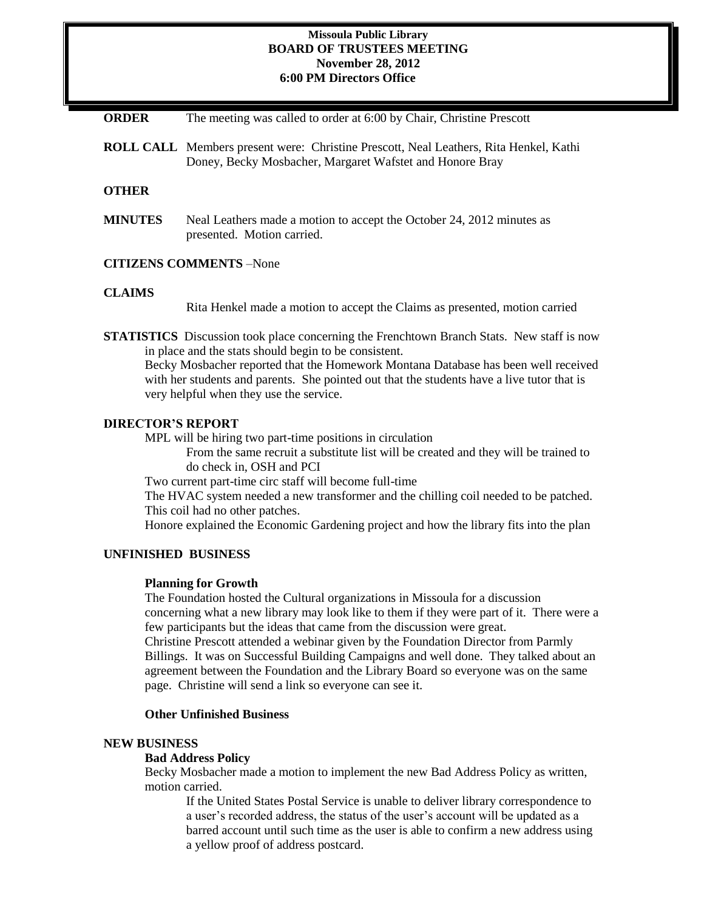### **Missoula Public Library BOARD OF TRUSTEES MEETING November 28, 2012 6:00 PM Directors Office**

**ORDER** The meeting was called to order at 6:00 by Chair, Christine Prescott

**ROLL CALL** Members present were: Christine Prescott, Neal Leathers, Rita Henkel, Kathi Doney, Becky Mosbacher, Margaret Wafstet and Honore Bray

#### **OTHER**

**MINUTES** Neal Leathers made a motion to accept the October 24, 2012 minutes as presented. Motion carried.

#### **CITIZENS COMMENTS** –None

#### **CLAIMS**

Rita Henkel made a motion to accept the Claims as presented, motion carried

**STATISTICS** Discussion took place concerning the Frenchtown Branch Stats. New staff is now in place and the stats should begin to be consistent.

Becky Mosbacher reported that the Homework Montana Database has been well received with her students and parents. She pointed out that the students have a live tutor that is very helpful when they use the service.

## **DIRECTOR'S REPORT**

MPL will be hiring two part-time positions in circulation

From the same recruit a substitute list will be created and they will be trained to do check in, OSH and PCI

Two current part-time circ staff will become full-time

The HVAC system needed a new transformer and the chilling coil needed to be patched. This coil had no other patches.

Honore explained the Economic Gardening project and how the library fits into the plan

## **UNFINISHED BUSINESS**

#### **Planning for Growth**

The Foundation hosted the Cultural organizations in Missoula for a discussion concerning what a new library may look like to them if they were part of it. There were a few participants but the ideas that came from the discussion were great.

Christine Prescott attended a webinar given by the Foundation Director from Parmly Billings. It was on Successful Building Campaigns and well done. They talked about an agreement between the Foundation and the Library Board so everyone was on the same page. Christine will send a link so everyone can see it.

#### **Other Unfinished Business**

#### **NEW BUSINESS**

## **Bad Address Policy**

Becky Mosbacher made a motion to implement the new Bad Address Policy as written, motion carried.

If the United States Postal Service is unable to deliver library correspondence to a user's recorded address, the status of the user's account will be updated as a barred account until such time as the user is able to confirm a new address using a yellow proof of address postcard.